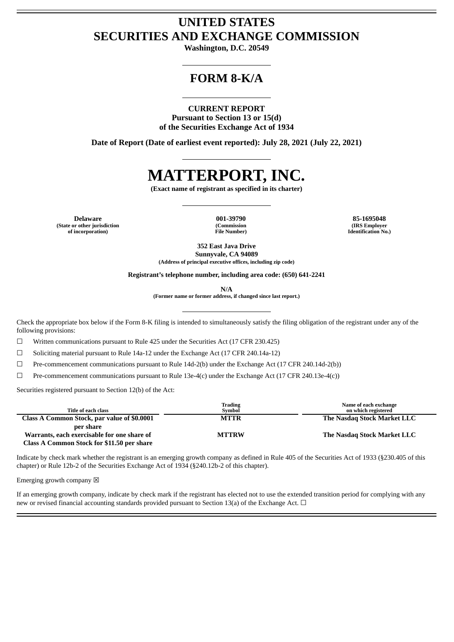# **UNITED STATES SECURITIES AND EXCHANGE COMMISSION**

**Washington, D.C. 20549**

# **FORM 8-K/A**

## **CURRENT REPORT**

**Pursuant to Section 13 or 15(d) of the Securities Exchange Act of 1934**

**Date of Report (Date of earliest event reported): July 28, 2021 (July 22, 2021)**

# **MATTERPORT, INC.**

**(Exact name of registrant as specified in its charter)**

**(State or other jurisdiction of incorporation)**

**(Commission File Number)**

**Delaware 001-39790 85-1695048 (IRS Employer Identification No.)**

> **352 East Java Drive Sunnyvale, CA 94089**

**(Address of principal executive offices, including zip code)**

**Registrant's telephone number, including area code: (650) 641-2241**

**N/A**

**(Former name or former address, if changed since last report.)**

Check the appropriate box below if the Form 8-K filing is intended to simultaneously satisfy the filing obligation of the registrant under any of the following provisions:

 $\Box$  Written communications pursuant to Rule 425 under the Securities Act (17 CFR 230.425)

☐ Soliciting material pursuant to Rule 14a-12 under the Exchange Act (17 CFR 240.14a-12)

☐ Pre-commencement communications pursuant to Rule 14d-2(b) under the Exchange Act (17 CFR 240.14d-2(b))

 $\Box$  Pre-commencement communications pursuant to Rule 13e-4(c) under the Exchange Act (17 CFR 240.13e-4(c))

Securities registered pursuant to Section 12(b) of the Act:

|                                             | Trading      | Name of each exchange       |
|---------------------------------------------|--------------|-----------------------------|
| Title of each class                         | Svmbol       | on which registered         |
| Class A Common Stock, par value of \$0.0001 | <b>MTTR</b>  | The Nasdag Stock Market LLC |
| per share                                   |              |                             |
| Warrants, each exercisable for one share of | <b>MTTRW</b> | The Nasdag Stock Market LLC |
| Class A Common Stock for \$11.50 per share  |              |                             |

Indicate by check mark whether the registrant is an emerging growth company as defined in Rule 405 of the Securities Act of 1933 (§230.405 of this chapter) or Rule 12b-2 of the Securities Exchange Act of 1934 (§240.12b-2 of this chapter).

Emerging growth company  $\boxtimes$ 

If an emerging growth company, indicate by check mark if the registrant has elected not to use the extended transition period for complying with any new or revised financial accounting standards provided pursuant to Section 13(a) of the Exchange Act.  $\Box$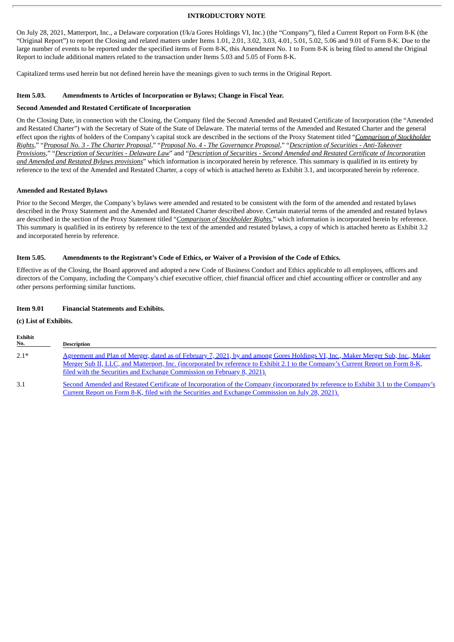#### **INTRODUCTORY NOTE**

On July 28, 2021, Matterport, Inc., a Delaware corporation (f/k/a Gores Holdings VI, Inc.) (the "Company"), filed a Current Report on Form 8-K (the "Original Report") to report the Closing and related matters under Items 1.01, 2.01, 3.02, 3.03, 4.01, 5.01, 5.02, 5.06 and 9.01 of Form 8-K. Due to the large number of events to be reported under the specified items of Form 8-K, this Amendment No. 1 to Form 8-K is being filed to amend the Original Report to include additional matters related to the transaction under Items 5.03 and 5.05 of Form 8-K.

Capitalized terms used herein but not defined herein have the meanings given to such terms in the Original Report.

#### **Item 5.03. Amendments to Articles of Incorporation or Bylaws; Change in Fiscal Year.**

#### **Second Amended and Restated Certificate of Incorporation**

On the Closing Date, in connection with the Closing, the Company filed the Second Amended and Restated Certificate of Incorporation (the "Amended and Restated Charter") with the Secretary of State of the State of Delaware. The material terms of the Amended and Restated Charter and the general effect upon the rights of holders of the Company's capital stock are described in the sections of the Proxy Statement titled "*Comparison of Stockholder* Rights," "Proposal No. 3 - The Charter Proposal," "Proposal No. 4 - The Governance Proposal," "Description of Securities - Anti-Takeover Provisions," "Description of Securities - Delaware Law" and "Description of Securities - Second Amended and Restated Certificate of Incorporation *and Amended and Restated Bylaws provisions*" which information is incorporated herein by reference. This summary is qualified in its entirety by reference to the text of the Amended and Restated Charter, a copy of which is attached hereto as Exhibit 3.1, and incorporated herein by reference.

#### **Amended and Restated Bylaws**

Prior to the Second Merger, the Company's bylaws were amended and restated to be consistent with the form of the amended and restated bylaws described in the Proxy Statement and the Amended and Restated Charter described above. Certain material terms of the amended and restated bylaws are described in the section of the Proxy Statement titled "*Comparison of Stockholder Rights*," which information is incorporated herein by reference. This summary is qualified in its entirety by reference to the text of the amended and restated bylaws, a copy of which is attached hereto as Exhibit 3.2 and incorporated herein by reference.

### Item 5.05. Amendments to the Registrant's Code of Ethics, or Waiver of a Provision of the Code of Ethics.

Effective as of the Closing, the Board approved and adopted a new Code of Business Conduct and Ethics applicable to all employees, officers and directors of the Company, including the Company's chief executive officer, chief financial officer and chief accounting officer or controller and any other persons performing similar functions.

#### **Item 9.01 Financial Statements and Exhibits.**

#### **(c) List of Exhibits.**

| Exhibit<br>No. | Description                                                                                                                                                                                                                                                        |
|----------------|--------------------------------------------------------------------------------------------------------------------------------------------------------------------------------------------------------------------------------------------------------------------|
| $2.1*$         | Agreement and Plan of Merger, dated as of February 7, 2021, by and among Gores Holdings VI, Inc., Maker Merger Sub, Inc., Maker<br>Merger Sub II, LLC, and Matterport, Inc. (incorporated by reference to Exhibit 2.1 to the Company's Current Report on Form 8-K, |
| 3.1            | filed with the Securities and Exchange Commission on February 8, 2021).<br>Second Amended and Restated Certificate of Incorporation of the Company (incorporated by reference to Exhibit 3.1 to the Company's                                                      |
|                | Current Report on Form 8-K, filed with the Securities and Exchange Commission on July 28, 2021).                                                                                                                                                                   |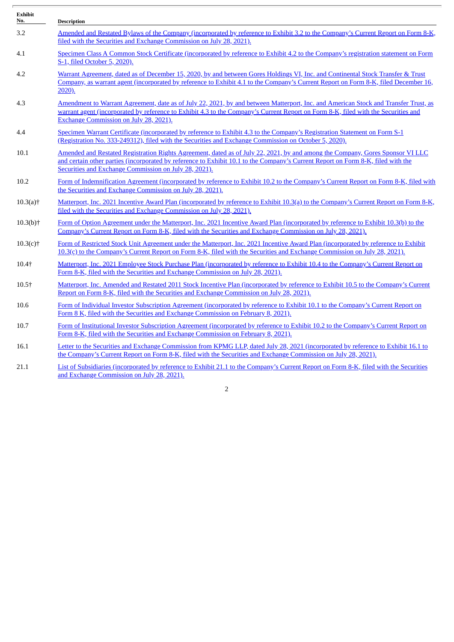| <b>Exhibit</b><br>No.  | <b>Description</b>                                                                                                                                                                                                                                                                                                         |
|------------------------|----------------------------------------------------------------------------------------------------------------------------------------------------------------------------------------------------------------------------------------------------------------------------------------------------------------------------|
| 3.2                    | Amended and Restated Bylaws of the Company (incorporated by reference to Exhibit 3.2 to the Company's Current Report on Form 8-K,<br>filed with the Securities and Exchange Commission on July 28, 2021).                                                                                                                  |
| 4.1                    | Specimen Class A Common Stock Certificate (incorporated by reference to Exhibit 4.2 to the Company's registration statement on Form<br>S-1, filed October 5, 2020).                                                                                                                                                        |
| 4.2                    | Warrant Agreement, dated as of December 15, 2020, by and between Gores Holdings VI, Inc. and Continental Stock Transfer & Trust<br>Company, as warrant agent (incorporated by reference to Exhibit 4.1 to the Company's Current Report on Form 8-K, filed December 16,<br>$2020$ ).                                        |
| 4.3                    | Amendment to Warrant Agreement, date as of July 22, 2021, by and between Matterport, Inc. and American Stock and Transfer Trust, as<br>warrant agent (incorporated by reference to Exhibit 4.3 to the Company's Current Report on Form 8-K, filed with the Securities and<br>Exchange Commission on July 28, 2021).        |
| 4.4                    | Specimen Warrant Certificate (incorporated by reference to Exhibit 4.3 to the Company's Registration Statement on Form S-1<br>(Registration No. 333-249312), filed with the Securities and Exchange Commission on October 5, 2020).                                                                                        |
| 10.1                   | Amended and Restated Registration Rights Agreement, dated as of July 22, 2021, by and among the Company, Gores Sponsor VI LLC<br>and certain other parties (incorporated by reference to Exhibit 10.1 to the Company's Current Report on Form 8-K, filed with the<br>Securities and Exchange Commission on July 28, 2021). |
| 10.2                   | Form of Indemnification Agreement (incorporated by reference to Exhibit 10.2 to the Company's Current Report on Form 8-K, filed with<br>the Securities and Exchange Commission on July 28, 2021).                                                                                                                          |
| $10.3(a)$ †            | <u>Matterport, Inc. 2021 Incentive Award Plan (incorporated by reference to Exhibit 10.3(a) to the Company's Current Report on Form 8-K,</u><br>filed with the Securities and Exchange Commission on July 28, 2021).                                                                                                       |
| $10.3(b)$ <sup>+</sup> | Form of Option Agreement under the Matterport, Inc. 2021 Incentive Award Plan (incorporated by reference to Exhibit 10.3(b) to the<br>Company's Current Report on Form 8-K, filed with the Securities and Exchange Commission on July 28, 2021).                                                                           |
| $10.3(c)$ †            | Form of Restricted Stock Unit Agreement under the Matterport, Inc. 2021 Incentive Award Plan (incorporated by reference to Exhibit<br>10.3(c) to the Company's Current Report on Form 8-K, filed with the Securities and Exchange Commission on July 28, 2021).                                                            |
| $10.4+$                | Matterport, Inc. 2021 Employee Stock Purchase Plan (incorporated by reference to Exhibit 10.4 to the Company's Current Report on<br>Form 8-K, filed with the Securities and Exchange Commission on July 28, 2021).                                                                                                         |
| 10.5 <sub>†</sub>      | Matterport, Inc. Amended and Restated 2011 Stock Incentive Plan (incorporated by reference to Exhibit 10.5 to the Company's Current<br>Report on Form 8-K, filed with the Securities and Exchange Commission on July 28, 2021).                                                                                            |
| 10.6                   | Form of Individual Investor Subscription Agreement (incorporated by reference to Exhibit 10.1 to the Company's Current Report on<br>Form 8 K, filed with the Securities and Exchange Commission on February 8, 2021).                                                                                                      |
| 10.7                   | Form of Institutional Investor Subscription Agreement (incorporated by reference to Exhibit 10.2 to the Company's Current Report on<br>Form 8-K, filed with the Securities and Exchange Commission on February 8, 2021).                                                                                                   |
| 16.1                   | Letter to the Securities and Exchange Commission from KPMG LLP, dated July 28, 2021 (incorporated by reference to Exhibit 16.1 to<br>the Company's Current Report on Form 8-K, filed with the Securities and Exchange Commission on July 28, 2021).                                                                        |
| 21.1                   | List of Subsidiaries (incorporated by reference to Exhibit 21.1 to the Company's Current Report on Form 8-K, filed with the Securities<br>and Exchange Commission on July 28, 2021).                                                                                                                                       |

ł.

2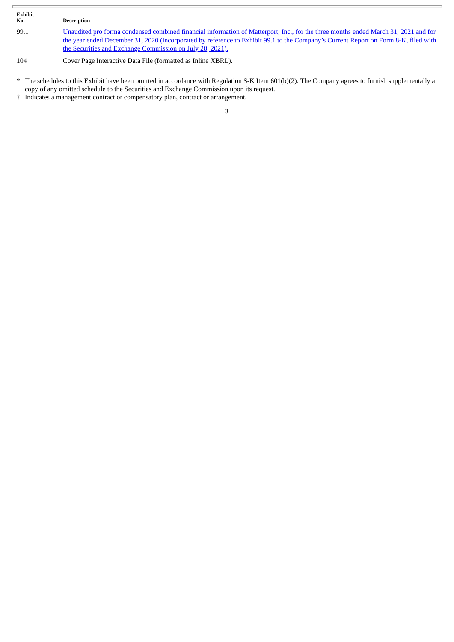| Exhibit<br><b>No.</b> | <b>Description</b>                                                                                                                                                                                                                                                                                                                      |
|-----------------------|-----------------------------------------------------------------------------------------------------------------------------------------------------------------------------------------------------------------------------------------------------------------------------------------------------------------------------------------|
| 99.1                  | Unaudited pro forma condensed combined financial information of Matterport, Inc., for the three months ended March 31, 2021 and for<br>the year ended December 31, 2020 (incorporated by reference to Exhibit 99.1 to the Company's Current Report on Form 8-K, filed with<br>the Securities and Exchange Commission on July 28, 2021). |
| 104                   | Cover Page Interactive Data File (formatted as Inline XBRL).                                                                                                                                                                                                                                                                            |

<sup>\*</sup> The schedules to this Exhibit have been omitted in accordance with Regulation S-K Item 601(b)(2). The Company agrees to furnish supplementally a copy of any omitted schedule to the Securities and Exchange Commission upon its request.

<sup>†</sup> Indicates a management contract or compensatory plan, contract or arrangement.